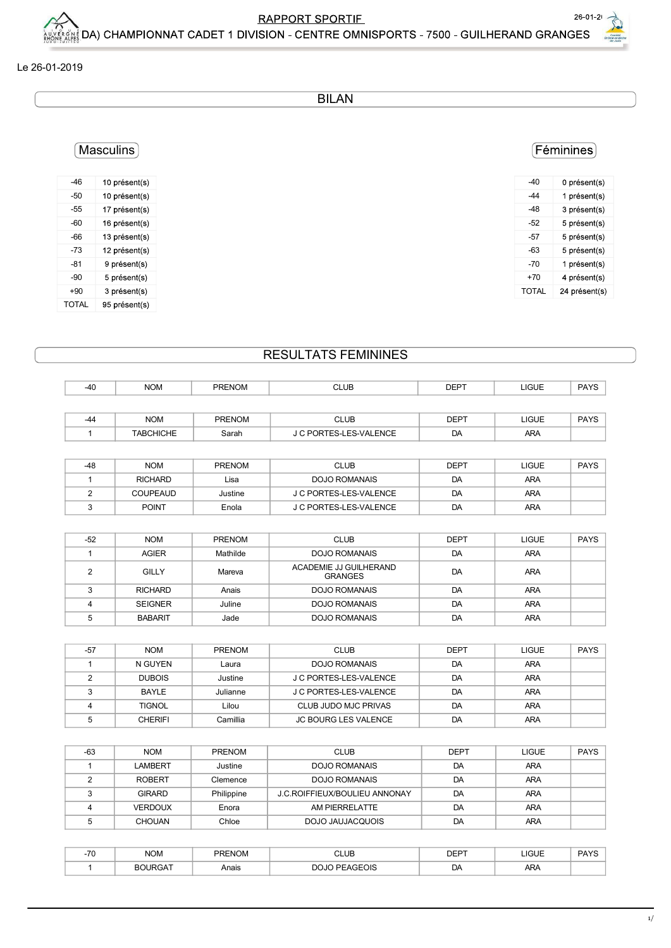BILAN

| $-40$ | 0 présent(s)  |
|-------|---------------|
| $-44$ | 1 présent(s)  |
| $-48$ | 3 présent(s)  |
| $-52$ | 5 présent(s)  |
| $-57$ | 5 présent(s)  |
| $-63$ | 5 présent(s)  |
| $-70$ | 1 présent(s)  |
| $+70$ | 4 présent(s)  |
| TOTAL | 24 présent(s) |

## Masculins

| $-46$ | 10 présent(s) |
|-------|---------------|
| $-50$ | 10 présent(s) |
| $-55$ | 17 présent(s) |
| $-60$ | 16 présent(s) |
| $-66$ | 13 présent(s) |
| $-73$ | 12 présent(s) |
| $-81$ | 9 présent(s)  |
| $-90$ | 5 présent(s)  |
| $+90$ | 3 présent(s)  |
| TOTAL | 95 présent(s) |

## RESULTATS FEMININES

|                |                  |               | <b>BILAN</b>                             |             |              |               |
|----------------|------------------|---------------|------------------------------------------|-------------|--------------|---------------|
|                |                  |               |                                          |             |              |               |
| Masculins      |                  |               |                                          |             |              | Féminines     |
| $-46$          | 10 présent(s)    |               |                                          |             | -40          | 0 présent(s)  |
| $-50$          | 10 présent(s)    |               |                                          |             | $-44$        | 1 présent(s)  |
| $-55$          | 17 présent(s)    |               |                                          |             | $-48$        | 3 présent(s)  |
| $-60$          | 16 présent(s)    |               |                                          |             | $-52$        | 5 présent(s)  |
| $-66$          | 13 présent(s)    |               |                                          |             | $-57$        | 5 présent(s)  |
| $-73$          | 12 présent(s)    |               |                                          |             | $-63$        | 5 présent(s)  |
| $-81$          | 9 présent(s)     |               |                                          |             | $-70$        | 1 présent(s)  |
| $-90$          | 5 présent(s)     |               |                                          |             | $+70$        | 4 présent(s)  |
| $+90$          | 3 présent(s)     |               |                                          |             | <b>TOTAL</b> | 24 présent(s) |
| <b>TOTAL</b>   | 95 présent(s)    |               |                                          |             |              |               |
|                |                  |               |                                          |             |              |               |
|                |                  |               | <b>RESULTATS FEMININES</b>               |             |              |               |
| $-40$          | <b>NOM</b>       | <b>PRENOM</b> | <b>CLUB</b>                              | <b>DEPT</b> | LIGUE        | PAYS          |
|                |                  |               |                                          |             |              |               |
| $-44$          | <b>NOM</b>       | PRENOM        | <b>CLUB</b>                              | <b>DEPT</b> | LIGUE        | PAYS          |
| $\mathbf{1}$   | <b>TABCHICHE</b> | Sarah         | J C PORTES-LES-VALENCE                   | DA          | ARA          |               |
|                |                  |               |                                          |             |              |               |
| $-48$          | <b>NOM</b>       | PRENOM        | <b>CLUB</b>                              | <b>DEPT</b> | LIGUE        | PAYS          |
| $\mathbf{1}$   | <b>RICHARD</b>   | Lisa          | DOJO ROMANAIS                            | DA          | ARA          |               |
| $\overline{2}$ | COUPEAUD         | Justine       | J C PORTES-LES-VALENCE                   | DA          | ARA          |               |
| 3              | <b>POINT</b>     | Enola         | J C PORTES-LES-VALENCE                   | DA          | ARA          |               |
| $-52$          | <b>NOM</b>       | PRENOM        | <b>CLUB</b>                              | <b>DEPT</b> | LIGUE        | PAYS          |
| $\mathbf{1}$   | AGIER            | Mathilde      | <b>DOJO ROMANAIS</b>                     | DA          | ARA          |               |
| $\overline{2}$ | <b>GILLY</b>     | Mareva        | ACADEMIE JJ GUILHERAND<br><b>GRANGES</b> | DA          | ARA          |               |
| 3              | <b>RICHARD</b>   | Anais         | <b>DOJO ROMANAIS</b>                     | DA          | ARA          |               |
| 4              | <b>SEIGNER</b>   | Juline        | DOJO ROMANAIS                            | DA          | ARA          |               |
| 5              | <b>BABARIT</b>   | Jade          | <b>DOJO ROMANAIS</b>                     | DA          | ARA          |               |
|                |                  |               |                                          |             |              |               |
| $-57$          | <b>NOM</b>       | PRENOM        | <b>CLUB</b>                              | <b>DEPT</b> | LIGUE        | PAYS          |
| $\overline{1}$ | N GUYEN          | Laura         | <b>DOJO ROMANAIS</b>                     | DA          | ARA          |               |
| $\overline{2}$ | <b>DUBOIS</b>    | Justine       | J C PORTES-LES-VALENCE                   | DA          | ARA          |               |
| $\mathbf{3}$   | BAYLE            | Julianne      | J C PORTES-LES-VALENCE                   | DA          | ARA          |               |
| $\overline{4}$ | <b>TIGNOL</b>    | Lilou         | CLUB JUDO MJC PRIVAS                     | DA          | ARA          |               |
| 5              | <b>CHERIFI</b>   | Camillia      | JC BOURG LES VALENCE                     | DA          | ARA          |               |
|                |                  |               |                                          |             |              |               |
| $-63$          | <b>NOM</b>       | PRENOM        | <b>CLUB</b>                              | <b>DEPT</b> | LIGUE        | PAYS          |
| $\overline{1}$ | <b>LAMBERT</b>   | Justine       | <b>DOJO ROMANAIS</b>                     | DA          | ARA          |               |
| $\overline{2}$ | <b>ROBERT</b>    | Clemence      | DOJO ROMANAIS                            | DA          | ARA          |               |
| $\mathbf{3}$   | <b>GIRARD</b>    | Philippine    | J.C.ROIFFIEUX/BOULIEU ANNONAY            | DA          | ARA          |               |
| $\overline{4}$ | <b>VERDOUX</b>   | Enora         | AM PIERRELATTE                           | DA          | ARA          |               |
| $\overline{5}$ | CHOUAN           | Chloe         | DOJO JAUJACQUOIS                         | DA          | ARA          |               |
|                |                  |               |                                          |             |              |               |
| $-70$          | <b>NOM</b>       | <b>PRENOM</b> | <b>CLUB</b>                              | <b>DEPT</b> | LIGUE        | PAYS          |

| $\overline{70}$<br>-16 | <b>NOM</b>              | <b>PRENOM</b> | CLUB                    | <b>DEPT</b>    | C <br>ᄓᅌᄔ  | D <sub>A</sub><br>$\overline{\phantom{a}}$ |
|------------------------|-------------------------|---------------|-------------------------|----------------|------------|--------------------------------------------|
|                        | <b>BOURGAT</b><br>"RGA. | Anais         | <b>PEAGEOIS</b><br>DOJC | DA<br><u>.</u> | <b>ARA</b> |                                            |

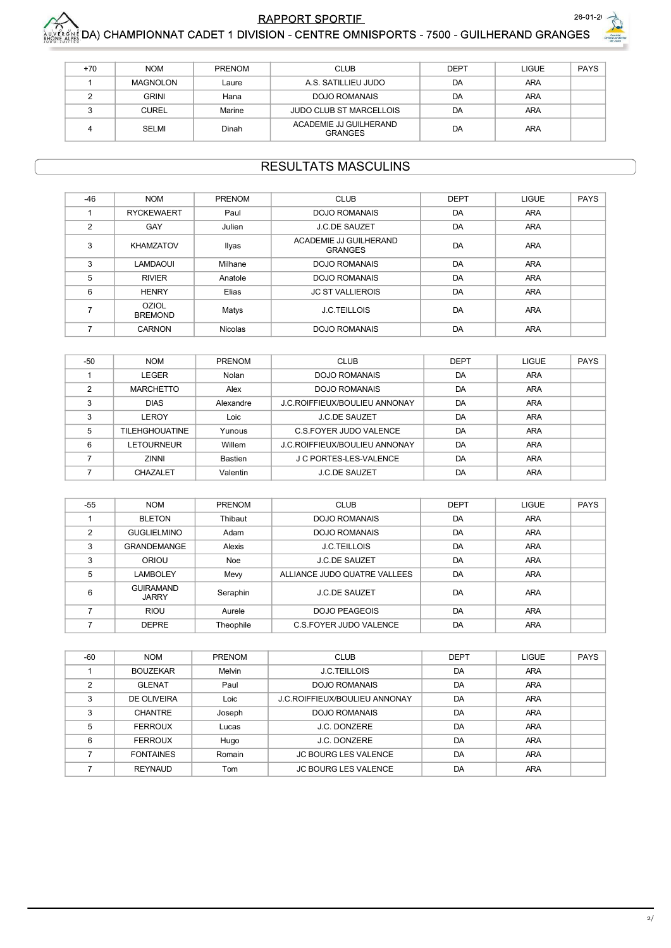



| $+70$ | <b>NOM</b>      | <b>PRENOM</b> | <b>CLUB</b>                              | <b>DEPT</b> | LIGUE      | <b>PAYS</b> |
|-------|-----------------|---------------|------------------------------------------|-------------|------------|-------------|
|       | <b>MAGNOLON</b> | Laure         | A.S. SATILLIEU JUDO                      | DA          | ARA        |             |
|       | <b>GRINI</b>    | Hana          | DOJO ROMANAIS                            | DA          | <b>ARA</b> |             |
|       | <b>CUREL</b>    | Marine        | <b>JUDO CLUB ST MARCELLOIS</b>           | DA          | <b>ARA</b> |             |
|       | SELMI           | Dinah         | ACADEMIE JJ GUILHERAND<br><b>GRANGES</b> | DA          | <b>ARA</b> |             |

### **RESULTATS MASCULINS**

| $-46$          | <b>NOM</b>                     | PRENOM         | <b>CLUB</b>                              | <b>DEPT</b> | <b>LIGUE</b> | <b>PAYS</b> |
|----------------|--------------------------------|----------------|------------------------------------------|-------------|--------------|-------------|
|                | <b>RYCKEWAERT</b>              | Paul           | <b>DOJO ROMANAIS</b>                     | DA          | ARA          |             |
| $\overline{2}$ | GAY                            | Julien         | <b>J.C.DE SAUZET</b>                     | DA          | <b>ARA</b>   |             |
| 3              | <b>KHAMZATOV</b>               | Ilyas          | ACADEMIE JJ GUILHERAND<br><b>GRANGES</b> | DA          | ARA          |             |
| 3              | <b>LAMDAOUI</b>                | Milhane        | <b>DOJO ROMANAIS</b>                     | DA          | <b>ARA</b>   |             |
| 5              | <b>RIVIER</b>                  | Anatole        | <b>DOJO ROMANAIS</b>                     | DA          | <b>ARA</b>   |             |
| 6              | <b>HENRY</b>                   | Elias          | <b>JC ST VALLIEROIS</b>                  | DA          | <b>ARA</b>   |             |
|                | <b>OZIOL</b><br><b>BREMOND</b> | Matys          | <b>J.C.TEILLOIS</b>                      | DA          | <b>ARA</b>   |             |
|                | <b>CARNON</b>                  | <b>Nicolas</b> | <b>DOJO ROMANAIS</b>                     | DA          | <b>ARA</b>   |             |
|                |                                |                |                                          |             |              |             |

| $-50$         | <b>NOM</b>            | <b>PRENOM</b>  | <b>CLUB</b>                          | <b>DEPT</b> | <b>LIGUE</b> | <b>PAYS</b> |
|---------------|-----------------------|----------------|--------------------------------------|-------------|--------------|-------------|
|               | LEGER                 | Nolan          | DOJO ROMANAIS                        | DA          | <b>ARA</b>   |             |
| $\mathcal{P}$ | <b>MARCHETTO</b>      | Alex           | <b>DOJO ROMANAIS</b>                 | DA          | <b>ARA</b>   |             |
| 3             | <b>DIAS</b>           | Alexandre      | <b>J.C.ROIFFIEUX/BOULIEU ANNONAY</b> | DA          | <b>ARA</b>   |             |
| 3             | LEROY                 | Loic           | <b>J.C.DE SAUZET</b>                 | DA          | <b>ARA</b>   |             |
| 5             | <b>TILEHGHOUATINE</b> | Yunous         | C.S.FOYER JUDO VALENCE               | DA          | <b>ARA</b>   |             |
| 6             | <b>LETOURNEUR</b>     | Willem         | <b>J.C.ROIFFIEUX/BOULIEU ANNONAY</b> | DA          | <b>ARA</b>   |             |
|               | <b>ZINNI</b>          | <b>Bastien</b> | J C PORTES-LES-VALENCE               | DA          | <b>ARA</b>   |             |
|               | <b>CHAZALET</b>       | Valentin       | <b>J.C.DE SAUZET</b>                 | DA          | <b>ARA</b>   |             |

| $-55$         | <b>NOM</b>                       | <b>PRENOM</b> | <b>CLUB</b>                  | <b>DEPT</b> | LIGUE      | <b>PAYS</b> |
|---------------|----------------------------------|---------------|------------------------------|-------------|------------|-------------|
|               | <b>BLETON</b>                    | Thibaut       | <b>DOJO ROMANAIS</b>         | DA          | <b>ARA</b> |             |
| $\mathcal{P}$ | <b>GUGLIELMINO</b>               | Adam          | <b>DOJO ROMANAIS</b>         | DA          | <b>ARA</b> |             |
| 3             | <b>GRANDEMANGE</b>               | Alexis        | <b>J.C.TEILLOIS</b>          | DA          | <b>ARA</b> |             |
| 3             | ORIOU                            | Noe           | <b>J.C.DE SAUZET</b>         | DA          | <b>ARA</b> |             |
| 5             | LAMBOLEY                         | Mevy          | ALLIANCE JUDO QUATRE VALLEES | DA          | <b>ARA</b> |             |
| 6             | <b>GUIRAMAND</b><br><b>JARRY</b> | Seraphin      | <b>J.C.DE SAUZET</b>         | DA          | <b>ARA</b> |             |
|               | <b>RIOU</b>                      | Aurele        | <b>DOJO PEAGEOIS</b>         | DA          | ARA        |             |
|               | <b>DEPRE</b>                     | Theophile     | C.S.FOYER JUDO VALENCE       | DA          | <b>ARA</b> |             |

| $-60$          | <b>NOM</b>       | <b>PRENOM</b> | <b>CLUB</b>                          | <b>DEPT</b> | <b>LIGUE</b> | <b>PAYS</b> |
|----------------|------------------|---------------|--------------------------------------|-------------|--------------|-------------|
|                | <b>BOUZEKAR</b>  | Melvin        | <b>J.C.TEILLOIS</b>                  | DA          | <b>ARA</b>   |             |
| $\mathfrak{p}$ | <b>GLENAT</b>    | Paul          | <b>DOJO ROMANAIS</b>                 | DA          | <b>ARA</b>   |             |
| 3              | DE OLIVEIRA      | Loic          | <b>J.C.ROIFFIEUX/BOULIEU ANNONAY</b> | DA          | ARA          |             |
| 3              | <b>CHANTRE</b>   | Joseph        | DOJO ROMANAIS                        | DA          | ARA          |             |
| 5              | <b>FERROUX</b>   | Lucas         | J.C. DONZERE                         | DA          | ARA          |             |
| 6              | <b>FERROUX</b>   | Hugo          | <b>J.C. DONZERE</b>                  | DA          | <b>ARA</b>   |             |
|                | <b>FONTAINES</b> | Romain        | <b>JC BOURG LES VALENCE</b>          | DA          | <b>ARA</b>   |             |
|                | <b>REYNAUD</b>   | Tom           | <b>JC BOURG LES VALENCE</b>          | DA          | <b>ARA</b>   |             |